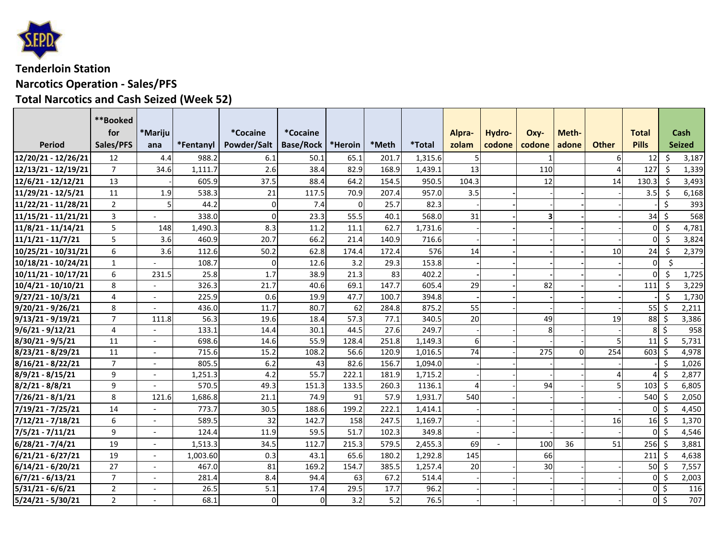

## **Tenderloin Station Narcotics Operation ‐ Sales/PFS Total Narcotics and Cash Seized (Week 52)**

|                                           | **Booked              |         |                   |                                 |                                      |                |                |                   |                 |                  |          |                |                |                              |                              |                              |
|-------------------------------------------|-----------------------|---------|-------------------|---------------------------------|--------------------------------------|----------------|----------------|-------------------|-----------------|------------------|----------|----------------|----------------|------------------------------|------------------------------|------------------------------|
| Period                                    | for<br>Sales/PFS      | *Mariju | *Fentanyl         | <i>*</i> Cocaine<br>Powder/Salt | <i>*</i> Cocaine<br><b>Base/Rock</b> | *Heroin        | *Meth          | <i>*</i> Total    | Alpra-<br>zolam | Hydro-<br>codone | Oxy-     | Meth-<br>adone | <b>Other</b>   | <b>Total</b><br><b>Pills</b> |                              | <b>Cash</b><br><b>Seized</b> |
|                                           |                       | ana     |                   |                                 |                                      |                |                |                   |                 |                  | codone   |                |                |                              |                              |                              |
| 12/20/21 - 12/26/21                       | 12                    | 4.4     | 988.2             | 6.1                             | 50.1                                 | 65.1           | 201.7          | 1,315.6           |                 |                  |          |                | 61             | 12                           | Ś.                           | 3,187                        |
| 12/13/21 - 12/19/21                       | $\overline{7}$        | 34.6    | 1,111.7           | 2.6                             | 38.4                                 | 82.9           | 168.9          | 1,439.1           | 13              |                  | 110      |                |                | 127                          | Ŝ.                           | 1,339                        |
| 12/6/21 - 12/12/21                        | 13                    |         | 605.9             | 37.5                            | 88.4                                 | 64.2           | 154.5          | 950.5             | 104.3           |                  | 12       |                | 14             | 130.3                        | $\mathsf{S}$                 | 3,493                        |
| 11/29/21 - 12/5/21                        | 11                    | 1.9     | 538.3             | 21                              | 117.5                                | 70.9           | 207.4          | 957.0             | 3.5             |                  |          |                |                | 3.5                          | -Ś                           | 6,168                        |
| 11/22/21 - 11/28/21                       | $\overline{2}$        |         | 44.2              | $\mathbf 0$                     | 7.4                                  | $\mathbf{O}$   | 25.7           | 82.3              |                 |                  |          |                |                |                              | Ś.                           | 393                          |
| 11/15/21 - 11/21/21                       | $\mathbf{3}$          |         | 338.0             | $\Omega$                        | 23.3                                 | 55.5           | 40.1           | 568.0             | 31              |                  | 3        |                |                | $34$ \$                      |                              | 568                          |
| 11/8/21 - 11/14/21                        | 5                     | 148     | 1,490.3           | 8.3                             | 11.2                                 | 11.1           | 62.7           | 1,731.6           |                 |                  |          |                |                | $\Omega$                     | -Ś                           | 4,781                        |
| $11/1/21 - 11/7/21$                       | 5                     | 3.6     | 460.9             | 20.7                            | 66.2                                 | 21.4           | 140.9          | 716.6             |                 |                  |          |                |                | $\Omega$                     | $\zeta$                      | 3,824                        |
| 10/25/21 - 10/31/21                       | 6                     | 3.6     | 112.6             | 50.2                            | 62.8                                 | 174.4          | 172.4          | 576               | 14              |                  |          |                | 10             | 24                           | Ŝ.                           | 2,379                        |
| 10/18/21 - 10/24/21                       | $\mathbf{1}$          |         | 108.7             | $\Omega$                        | 12.6                                 | 3.2            | 29.3           | 153.8             |                 |                  |          |                |                | ΩI                           | $\zeta$                      |                              |
| 10/11/21 - 10/17/21                       | 6                     | 231.5   | 25.8              | 1.7                             | 38.9                                 | 21.3           | 83             | 402.2             |                 |                  |          |                |                |                              | \$                           | 1,725                        |
| 10/4/21 - 10/10/21                        | 8                     |         | 326.3             | 21.7                            | 40.6                                 | 69.1           | 147.7          | 605.4             | 29              |                  | 82       |                |                | 111                          | Ŝ.                           | 3,229                        |
| $9/27/21 - 10/3/21$                       | 4                     |         | 225.9             | 0.6                             | 19.9                                 | 47.7           | 100.7          | 394.8             |                 |                  |          |                |                |                              | -Ś                           | 1,730                        |
| 9/20/21 - 9/26/21                         | 8                     |         | 436.0             | 11.7                            | 80.7                                 | 62             | 284.8          | 875.2             | 55              |                  |          |                |                | $55$ \$                      |                              | 2,211                        |
| 9/13/21 - 9/19/21                         | $\overline{7}$        | 111.8   | 56.3              | 19.6                            | 18.4                                 | 57.3           | 77.1           | 340.5             | 20              |                  | 49       |                | 19             | $88\frac{1}{2}$              |                              | 3,386                        |
| $9/6/21 - 9/12/21$                        | $\overline{4}$        |         | 133.1             | 14.4                            | 30.1                                 | 44.5           | 27.6           | 249.7             |                 |                  | 8        |                |                |                              | $8$ $\overline{\phantom{0}}$ | 958                          |
| 8/30/21 - 9/5/21                          | 11                    |         | 698.6             | 14.6                            | 55.9                                 | 128.4          | 251.8          | 1,149.3           | 6               |                  |          |                | 5 <sup>1</sup> | $11 \mid 5$                  |                              | 5,731                        |
| 8/23/21 - 8/29/21                         | 11                    |         | 715.6             | 15.2                            | 108.2                                | 56.6           | 120.9          | 1,016.5           | 74              |                  | 275      | $\Omega$       | 254            | $603 \,$ \$                  |                              | 4,978                        |
| 8/16/21 - 8/22/21                         | $\overline{7}$<br>9   |         | 805.5             | 6.2<br>4.2                      | 43<br>55.7                           | 82.6           | 156.7          | 1,094.0           |                 |                  |          |                |                |                              | Ŝ.<br>l \$                   | 1,026                        |
| 8/9/21 - 8/15/21                          | 9                     | $\sim$  | 1,251.3<br>570.5  | 49.3                            | 151.3                                | 222.1<br>133.5 | 181.9<br>260.3 | 1,715.2<br>1136.1 |                 |                  | 94       |                | 5 <sub>l</sub> | $103 \quad$ \$               |                              | 2,877                        |
| $8/2/21 - 8/8/21$<br>$7/26/21 - 8/1/21$   | 8                     | 121.6   | 1,686.8           | 21.1                            | 74.9                                 | 91             | 57.9           | 1,931.7           | 540             |                  |          |                |                | $540 \,$ \$                  |                              | 6,805                        |
| 7/19/21 - 7/25/21                         | 14                    |         | 773.7             | 30.5                            | 188.6                                | 199.2          | 222.1          | 1,414.1           |                 |                  |          |                |                |                              | \$                           | 2,050<br>4,450               |
| 7/12/21 - 7/18/21                         | 6                     | $\sim$  | 589.5             | 32                              | 142.7                                | 158            | 247.5          | 1,169.7           |                 |                  |          |                | 16             | $16 \mid 5$                  |                              |                              |
| 7/5/21 - 7/11/21                          | 9                     | $\sim$  | 124.4             | 11.9                            | 59.5                                 | 51.7           | 102.3          | 349.8             |                 |                  |          |                |                |                              | Ŝ.                           | 1,370                        |
| 6/28/21 - 7/4/21                          | 19                    |         | 1,513.3           | 34.5                            | 112.7                                | 215.3          | 579.5          | 2,455.3           | 69              |                  | 100      | 36             | 51             | $256$ \$                     |                              | 4,546<br>3,881               |
|                                           |                       |         |                   |                                 |                                      |                |                |                   |                 |                  |          |                |                |                              |                              |                              |
| 6/21/21 - 6/27/21                         | 19<br>$\overline{27}$ |         | 1,003.60<br>467.0 | 0.3<br>81                       | 43.1<br>169.2                        | 65.6<br>154.7  | 180.2<br>385.5 | 1,292.8           | 145<br>20       |                  | 66<br>30 |                |                | $211 \,$ \$<br>$50$ \$       |                              | 4,638                        |
| $6/14/21 - 6/20/21$<br>$6/7/21 - 6/13/21$ | $\overline{7}$        |         | 281.4             | 8.4                             | 94.4                                 | 63             | 67.2           | 1,257.4<br>514.4  |                 |                  |          |                |                | ΩI                           | -\$                          | 7,557<br>2,003               |
| 5/31/21 - 6/6/21                          | $\overline{2}$        |         | 26.5              | 5.1                             | 17.4                                 | 29.5           | 17.7           | 96.2              |                 |                  |          |                |                | ΩI                           | Ŝ.                           | 116                          |
| $5/24/21 - 5/30/21$                       | $2^{\circ}$           |         | 68.1              | $\mathbf 0$                     | $\Omega$                             | 3.2            | 5.2            | 76.5              |                 |                  |          |                |                |                              | $0\overline{\phantom{0}}$    | 707                          |
|                                           |                       |         |                   |                                 |                                      |                |                |                   |                 |                  |          |                |                |                              |                              |                              |